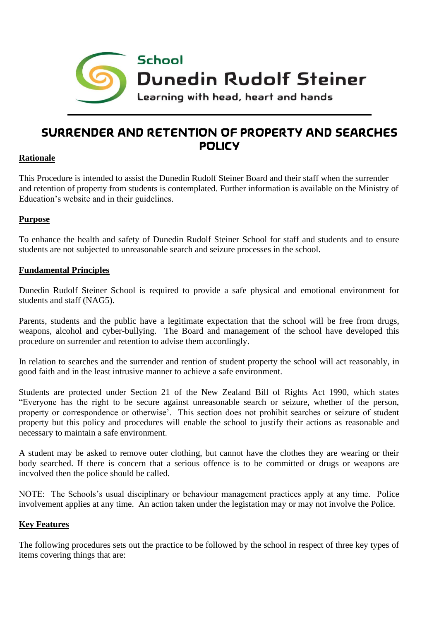

# **SURRENDER AND RETENTION OF PROPERTY AND SEARCHES POLICY**

# **Rationale**

This Procedure is intended to assist the Dunedin Rudolf Steiner Board and their staff when the surrender and retention of property from students is contemplated. Further information is available on the Ministry of Education's website and in their guidelines.

# **Purpose**

To enhance the health and safety of Dunedin Rudolf Steiner School for staff and students and to ensure students are not subjected to unreasonable search and seizure processes in the school.

## **Fundamental Principles**

Dunedin Rudolf Steiner School is required to provide a safe physical and emotional environment for students and staff (NAG5).

Parents, students and the public have a legitimate expectation that the school will be free from drugs, weapons, alcohol and cyber-bullying. The Board and management of the school have developed this procedure on surrender and retention to advise them accordingly.

In relation to searches and the surrender and rention of student property the school will act reasonably, in good faith and in the least intrusive manner to achieve a safe environment.

Students are protected under Section 21 of the New Zealand Bill of Rights Act 1990, which states "Everyone has the right to be secure against unreasonable search or seizure, whether of the person, property or correspondence or otherwise'. This section does not prohibit searches or seizure of student property but this policy and procedures will enable the school to justify their actions as reasonable and necessary to maintain a safe environment.

A student may be asked to remove outer clothing, but cannot have the clothes they are wearing or their body searched. If there is concern that a serious offence is to be committed or drugs or weapons are incvolved then the police should be called.

NOTE: The Schools's usual disciplinary or behaviour management practices apply at any time. Police involvement applies at any time. An action taken under the legistation may or may not involve the Police.

#### **Key Features**

The following procedures sets out the practice to be followed by the school in respect of three key types of items covering things that are: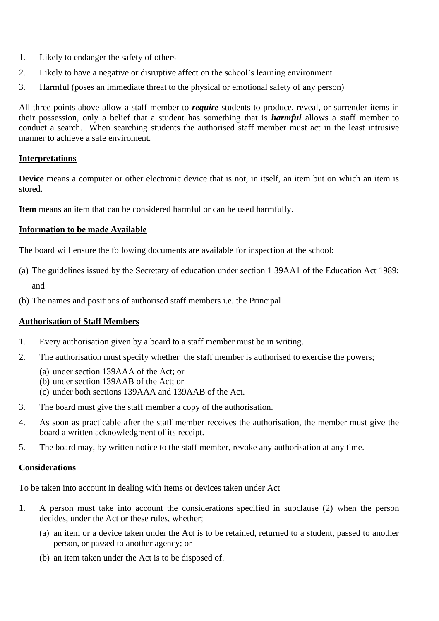- 1. Likely to endanger the safety of others
- 2. Likely to have a negative or disruptive affect on the school's learning environment
- 3. Harmful (poses an immediate threat to the physical or emotional safety of any person)

All three points above allow a staff member to *require* students to produce, reveal, or surrender items in their possession, only a belief that a student has something that is *harmful* allows a staff member to conduct a search. When searching students the authorised staff member must act in the least intrusive manner to achieve a safe enviroment.

# **Interpretations**

**Device** means a computer or other electronic device that is not, in itself, an item but on which an item is stored.

**Item** means an item that can be considered harmful or can be used harmfully.

## **Information to be made Available**

The board will ensure the following documents are available for inspection at the school:

- (a) The guidelines issued by the Secretary of education under section 1 39AA1 of the Education Act 1989; and
- (b) The names and positions of authorised staff members i.e. the Principal

# **Authorisation of Staff Members**

- 1. Every authorisation given by a board to a staff member must be in writing.
- 2. The authorisation must specify whether the staff member is authorised to exercise the powers;
	- (a) under section 139AAA of the Act; or
	- (b) under section 139AAB of the Act; or
	- (c) under both sections 139AAA and 139AAB of the Act.
- 3. The board must give the staff member a copy of the authorisation.
- 4. As soon as practicable after the staff member receives the authorisation, the member must give the board a written acknowledgment of its receipt.
- 5. The board may, by written notice to the staff member, revoke any authorisation at any time.

#### **Considerations**

To be taken into account in dealing with items or devices taken under Act

- 1. A person must take into account the considerations specified in subclause (2) when the person decides, under the Act or these rules, whether;
	- (a) an item or a device taken under the Act is to be retained, returned to a student, passed to another person, or passed to another agency; or
	- (b) an item taken under the Act is to be disposed of.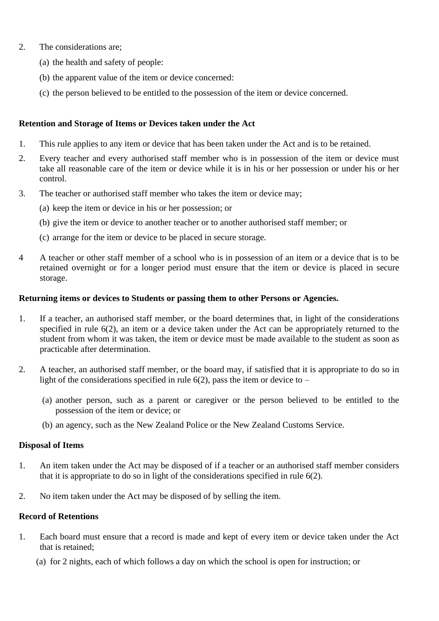- 2. The considerations are;
	- (a) the health and safety of people:
	- (b) the apparent value of the item or device concerned:
	- (c) the person believed to be entitled to the possession of the item or device concerned.

## **Retention and Storage of Items or Devices taken under the Act**

- 1. This rule applies to any item or device that has been taken under the Act and is to be retained.
- 2. Every teacher and every authorised staff member who is in possession of the item or device must take all reasonable care of the item or device while it is in his or her possession or under his or her control.
- 3. The teacher or authorised staff member who takes the item or device may;
	- (a) keep the item or device in his or her possession; or
	- (b) give the item or device to another teacher or to another authorised staff member; or
	- (c) arrange for the item or device to be placed in secure storage.
- 4 A teacher or other staff member of a school who is in possession of an item or a device that is to be retained overnight or for a longer period must ensure that the item or device is placed in secure storage.

#### **Returning items or devices to Students or passing them to other Persons or Agencies.**

- 1. If a teacher, an authorised staff member, or the board determines that, in light of the considerations specified in rule 6(2), an item or a device taken under the Act can be appropriately returned to the student from whom it was taken, the item or device must be made available to the student as soon as practicable after determination.
- 2. A teacher, an authorised staff member, or the board may, if satisfied that it is appropriate to do so in light of the considerations specified in rule  $6(2)$ , pass the item or device to –
	- (a) another person, such as a parent or caregiver or the person believed to be entitled to the possession of the item or device; or
	- (b) an agency, such as the New Zealand Police or the New Zealand Customs Service.

#### **Disposal of Items**

- 1. An item taken under the Act may be disposed of if a teacher or an authorised staff member considers that it is appropriate to do so in light of the considerations specified in rule 6(2).
- 2. No item taken under the Act may be disposed of by selling the item.

#### **Record of Retentions**

- 1. Each board must ensure that a record is made and kept of every item or device taken under the Act that is retained;
	- (a) for 2 nights, each of which follows a day on which the school is open for instruction; or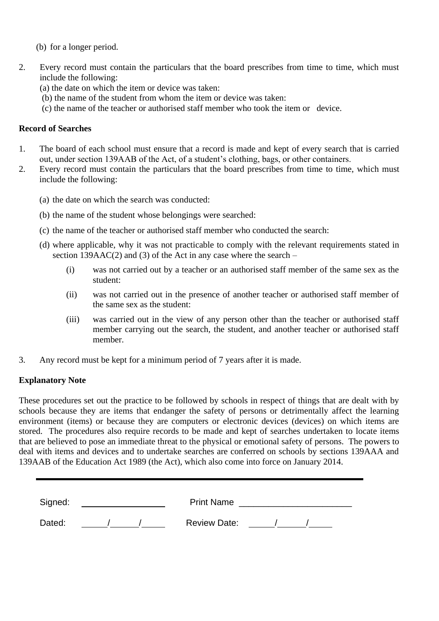- (b) for a longer period.
- 2. Every record must contain the particulars that the board prescribes from time to time, which must include the following:
	- (a) the date on which the item or device was taken:
	- (b) the name of the student from whom the item or device was taken:
	- (c) the name of the teacher or authorised staff member who took the item or device.

## **Record of Searches**

- 1. The board of each school must ensure that a record is made and kept of every search that is carried out, under section 139AAB of the Act, of a student's clothing, bags, or other containers.
- 2. Every record must contain the particulars that the board prescribes from time to time, which must include the following:
	- (a) the date on which the search was conducted:
	- (b) the name of the student whose belongings were searched:
	- (c) the name of the teacher or authorised staff member who conducted the search:
	- (d) where applicable, why it was not practicable to comply with the relevant requirements stated in section 139AAC(2) and (3) of the Act in any case where the search  $-$ 
		- (i) was not carried out by a teacher or an authorised staff member of the same sex as the student:
		- (ii) was not carried out in the presence of another teacher or authorised staff member of the same sex as the student:
		- (iii) was carried out in the view of any person other than the teacher or authorised staff member carrying out the search, the student, and another teacher or authorised staff member.
- 3. Any record must be kept for a minimum period of 7 years after it is made.

# **Explanatory Note**

These procedures set out the practice to be followed by schools in respect of things that are dealt with by schools because they are items that endanger the safety of persons or detrimentally affect the learning environment (items) or because they are computers or electronic devices (devices) on which items are stored. The procedures also require records to be made and kept of searches undertaken to locate items that are believed to pose an immediate threat to the physical or emotional safety of persons. The powers to deal with items and devices and to undertake searches are conferred on schools by sections 139AAA and 139AAB of the Education Act 1989 (the Act), which also come into force on January 2014.

| Signed: | <b>Print Name</b>   |
|---------|---------------------|
| Dated:  | <b>Review Date:</b> |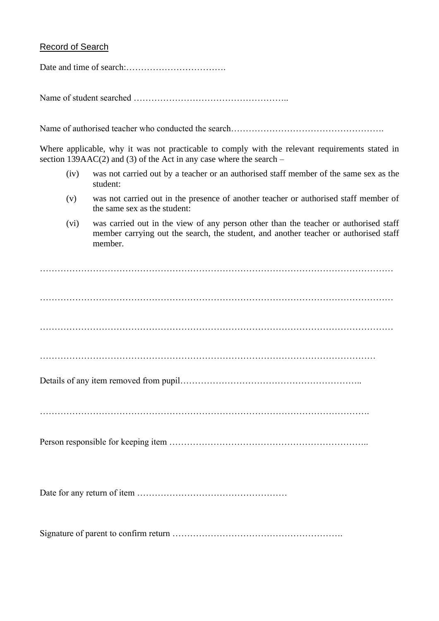## Record of Search

Date and time of search:…………………………….

Name of student searched ……………………………………………..

Name of authorised teacher who conducted the search……………………………………………………………………………

Where applicable, why it was not practicable to comply with the relevant requirements stated in section 139AAC(2) and (3) of the Act in any case where the search  $-$ 

- (iv) was not carried out by a teacher or an authorised staff member of the same sex as the student:
- (v) was not carried out in the presence of another teacher or authorised staff member of the same sex as the student:
- (vi) was carried out in the view of any person other than the teacher or authorised staff member carrying out the search, the student, and another teacher or authorised staff member.

………………………………………………………………………………………………………… ………………………………………………………………………………………………………… ………………………………………………………………………………………………………… …………………………………………………………………………………………………… Details of any item removed from pupil…………………………………………………….. …………………………………………………………………………………………………. Person responsible for keeping item ………………………………………………………….. Date for any return of item ……………………………………………

Signature of parent to confirm return ………………………………………………….